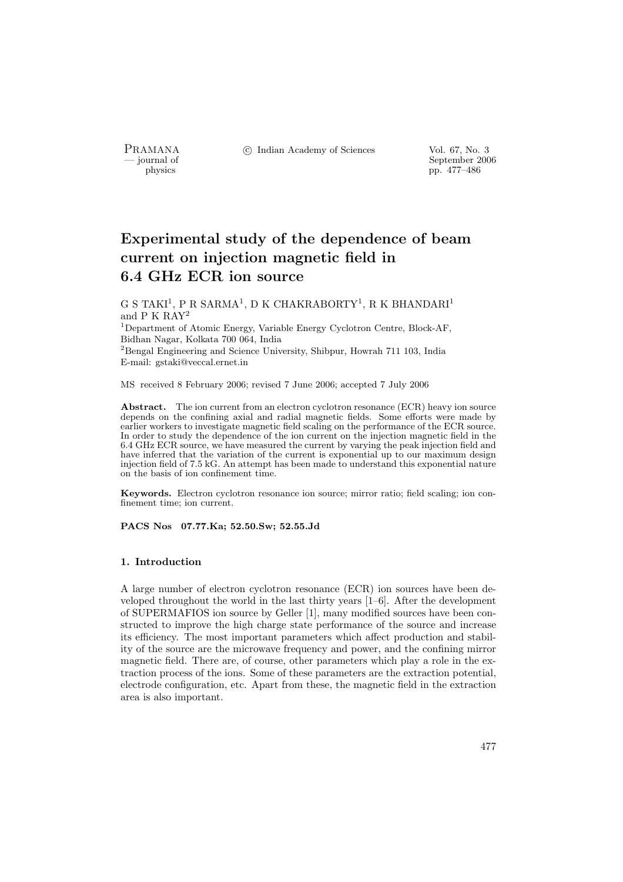PRAMANA <sup>C</sup> Indian Academy of Sciences Vol. 67, No. 3<br>
— iournal of September 200

position of the september 2006 of the september 2006 of the September 2006 of the september 2006 of the september 2006 of the september 2006 of the september 2006 of the september 2006 of the september 2006 of the septembe pp. 477–486

# Experimental study of the dependence of beam current on injection magnetic field in 6.4 GHz ECR ion source

G S TAKI<sup>1</sup>, P R SARMA<sup>1</sup>, D K CHAKRABORTY<sup>1</sup>, R K BHANDARI<sup>1</sup> and P K RAY<sup>2</sup>

<sup>1</sup>Department of Atomic Energy, Variable Energy Cyclotron Centre, Block-AF, Bidhan Nagar, Kolkata 700 064, India

<sup>2</sup>Bengal Engineering and Science University, Shibpur, Howrah 711 103, India E-mail: gstaki@veccal.ernet.in

MS received 8 February 2006; revised 7 June 2006; accepted 7 July 2006

Abstract. The ion current from an electron cyclotron resonance (ECR) heavy ion source depends on the confining axial and radial magnetic fields. Some efforts were made by earlier workers to investigate magnetic field scaling on the performance of the ECR source. In order to study the dependence of the ion current on the injection magnetic field in the 6.4 GHz ECR source, we have measured the current by varying the peak injection field and have inferred that the variation of the current is exponential up to our maximum design injection field of 7.5 kG. An attempt has been made to understand this exponential nature on the basis of ion confinement time.

Keywords. Electron cyclotron resonance ion source; mirror ratio; field scaling; ion confinement time; ion current.

PACS Nos 07.77.Ka; 52.50.Sw; 52.55.Jd

#### 1. Introduction

A large number of electron cyclotron resonance (ECR) ion sources have been developed throughout the world in the last thirty years [1–6]. After the development of SUPERMAFIOS ion source by Geller [1], many modified sources have been constructed to improve the high charge state performance of the source and increase its efficiency. The most important parameters which affect production and stability of the source are the microwave frequency and power, and the confining mirror magnetic field. There are, of course, other parameters which play a role in the extraction process of the ions. Some of these parameters are the extraction potential, electrode configuration, etc. Apart from these, the magnetic field in the extraction area is also important.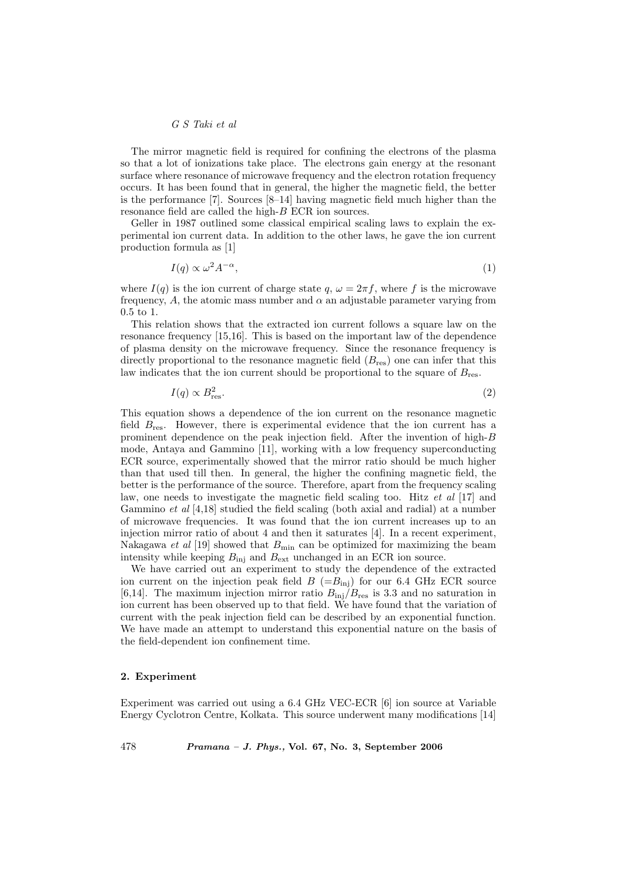## G S Taki et al

The mirror magnetic field is required for confining the electrons of the plasma so that a lot of ionizations take place. The electrons gain energy at the resonant surface where resonance of microwave frequency and the electron rotation frequency occurs. It has been found that in general, the higher the magnetic field, the better is the performance [7]. Sources [8–14] having magnetic field much higher than the resonance field are called the high-B ECR ion sources.

Geller in 1987 outlined some classical empirical scaling laws to explain the experimental ion current data. In addition to the other laws, he gave the ion current production formula as [1]

$$
I(q) \propto \omega^2 A^{-\alpha},\tag{1}
$$

where  $I(q)$  is the ion current of charge state  $q, \omega = 2\pi f$ , where f is the microwave frequency, A, the atomic mass number and  $\alpha$  an adjustable parameter varying from 0.5 to 1.

This relation shows that the extracted ion current follows a square law on the resonance frequency [15,16]. This is based on the important law of the dependence of plasma density on the microwave frequency. Since the resonance frequency is directly proportional to the resonance magnetic field  $(B_{res})$  one can infer that this law indicates that the ion current should be proportional to the square of  $B_{\text{res}}$ .

$$
I(q) \propto B_{\text{res}}^2. \tag{2}
$$

This equation shows a dependence of the ion current on the resonance magnetic field  $B_{\text{res}}$ . However, there is experimental evidence that the ion current has a prominent dependence on the peak injection field. After the invention of high- $B$ mode, Antaya and Gammino [11], working with a low frequency superconducting ECR source, experimentally showed that the mirror ratio should be much higher than that used till then. In general, the higher the confining magnetic field, the better is the performance of the source. Therefore, apart from the frequency scaling law, one needs to investigate the magnetic field scaling too. Hitz et al [17] and Gammino et al [4,18] studied the field scaling (both axial and radial) at a number of microwave frequencies. It was found that the ion current increases up to an injection mirror ratio of about 4 and then it saturates [4]. In a recent experiment, Nakagawa et al [19] showed that  $B_{\text{min}}$  can be optimized for maximizing the beam intensity while keeping  $B_{\text{ini}}$  and  $B_{\text{ext}}$  unchanged in an ECR ion source.

We have carried out an experiment to study the dependence of the extracted ion current on the injection peak field  $B$  (= $B_{\text{inj}}$ ) for our 6.4 GHz ECR source [6,14]. The maximum injection mirror ratio  $B_{\text{inj}}/B_{\text{res}}$  is 3.3 and no saturation in ion current has been observed up to that field. We have found that the variation of current with the peak injection field can be described by an exponential function. We have made an attempt to understand this exponential nature on the basis of the field-dependent ion confinement time.

## 2. Experiment

Experiment was carried out using a 6.4 GHz VEC-ECR [6] ion source at Variable Energy Cyclotron Centre, Kolkata. This source underwent many modifications [14]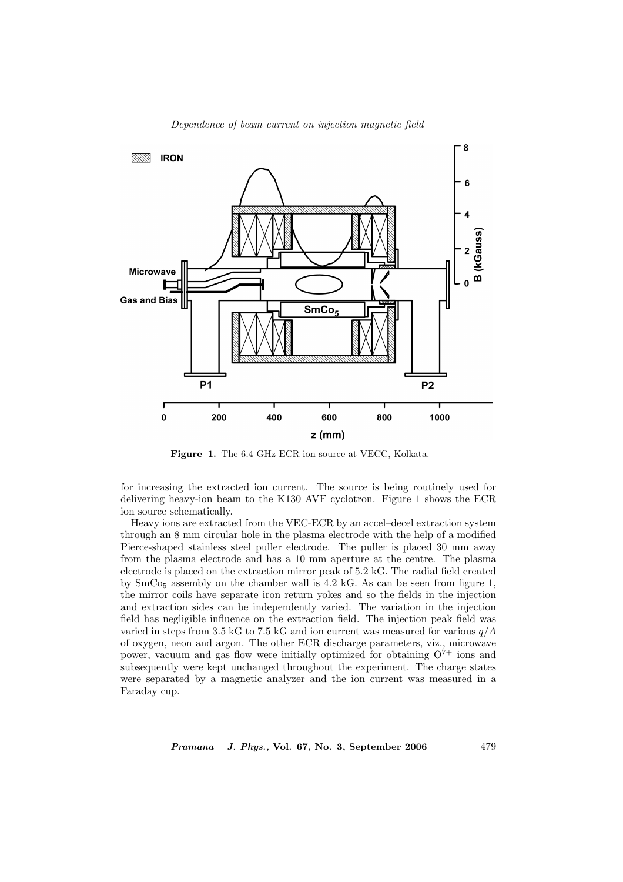

Dependence of beam current on injection magnetic field

Figure 1. The 6.4 GHz ECR ion source at VECC, Kolkata.

for increasing the extracted ion current. The source is being routinely used for delivering heavy-ion beam to the K130 AVF cyclotron. Figure 1 shows the ECR ion source schematically.

Heavy ions are extracted from the VEC-ECR by an accel–decel extraction system through an 8 mm circular hole in the plasma electrode with the help of a modified Pierce-shaped stainless steel puller electrode. The puller is placed 30 mm away from the plasma electrode and has a 10 mm aperture at the centre. The plasma electrode is placed on the extraction mirror peak of 5.2 kG. The radial field created by  $SmCo<sub>5</sub>$  assembly on the chamber wall is 4.2 kG. As can be seen from figure 1, the mirror coils have separate iron return yokes and so the fields in the injection and extraction sides can be independently varied. The variation in the injection field has negligible influence on the extraction field. The injection peak field was varied in steps from 3.5 kG to 7.5 kG and ion current was measured for various  $q/A$ of oxygen, neon and argon. The other ECR discharge parameters, viz., microwave power, vacuum and gas flow were initially optimized for obtaining  $O^{7+}$  ions and subsequently were kept unchanged throughout the experiment. The charge states were separated by a magnetic analyzer and the ion current was measured in a Faraday cup.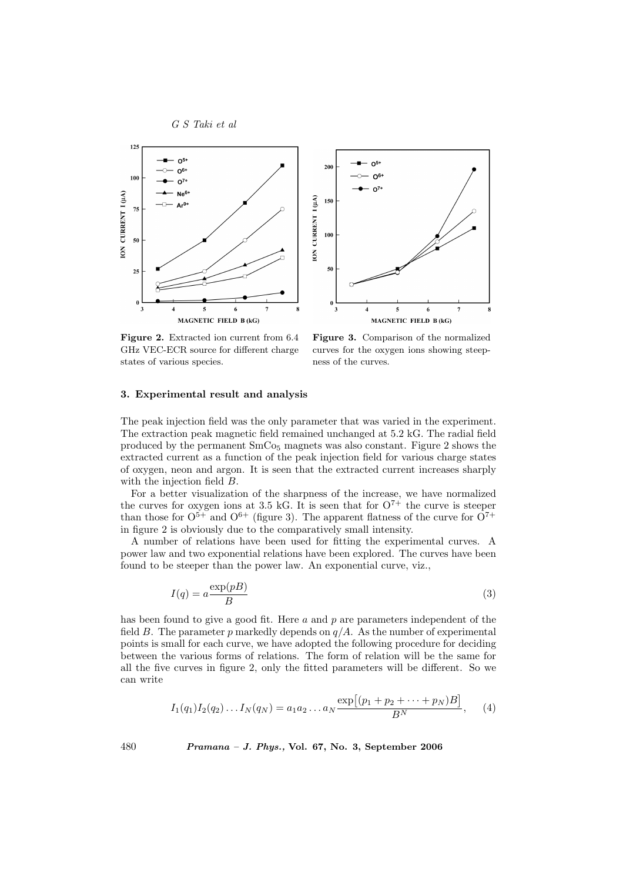



Figure 2. Extracted ion current from 6.4 GHz VEC-ECR source for different charge states of various species.

Figure 3. Comparison of the normalized curves for the oxygen ions showing steepness of the curves.

# 3. Experimental result and analysis

The peak injection field was the only parameter that was varied in the experiment. The extraction peak magnetic field remained unchanged at 5.2 kG. The radial field produced by the permanent  $SmCo<sub>5</sub>$  magnets was also constant. Figure 2 shows the extracted current as a function of the peak injection field for various charge states of oxygen, neon and argon. It is seen that the extracted current increases sharply with the injection field B.

For a better visualization of the sharpness of the increase, we have normalized the curves for oxygen ions at 3.5 kG. It is seen that for  $O^{7+}$  the curve is steeper than those for  $O^{5+}$  and  $O^{6+}$  (figure 3). The apparent flatness of the curve for  $O^{7+}$ in figure 2 is obviously due to the comparatively small intensity.

A number of relations have been used for fitting the experimental curves. A power law and two exponential relations have been explored. The curves have been found to be steeper than the power law. An exponential curve, viz.,

$$
I(q) = a \frac{\exp(pB)}{B} \tag{3}
$$

has been found to give a good fit. Here  $a$  and  $p$  are parameters independent of the field B. The parameter p markedly depends on  $q/A$ . As the number of experimental points is small for each curve, we have adopted the following procedure for deciding between the various forms of relations. The form of relation will be the same for all the five curves in figure 2, only the fitted parameters will be different. So we can write

$$
I_1(q_1)I_2(q_2)...I_N(q_N) = a_1 a_2 ... a_N \frac{\exp[(p_1 + p_2 + \dots + p_N)B]}{B^N}, \quad (4)
$$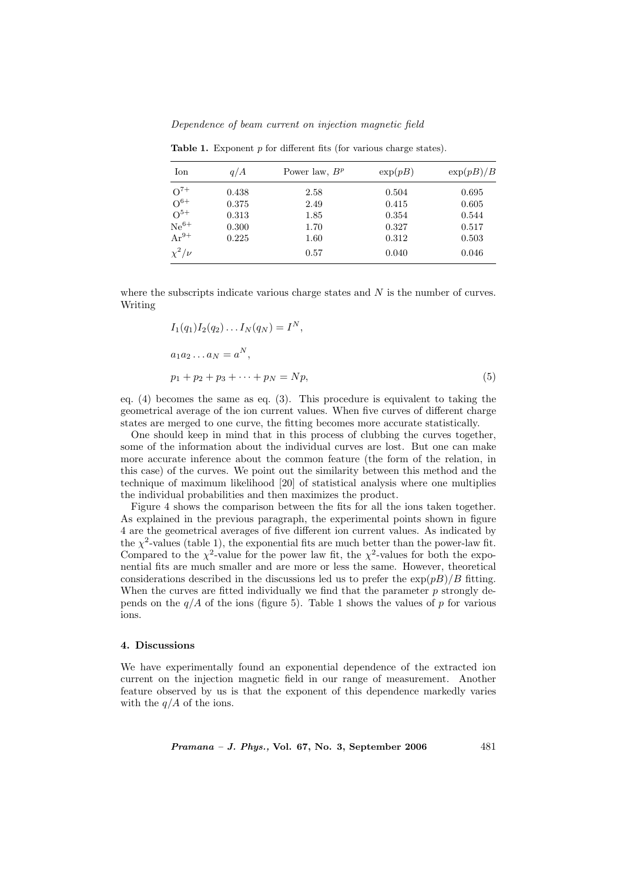Dependence of beam current on injection magnetic field

| Ion          | q/A   | Power law, $B^p$ | $\exp(pB)$ | $\exp(pB)/B$ |
|--------------|-------|------------------|------------|--------------|
| $O^{7+}$     | 0.438 | 2.58             | 0.504      | 0.695        |
| $O^{6+}$     | 0.375 | 2.49             | 0.415      | 0.605        |
| $O^{5+}$     | 0.313 | 1.85             | 0.354      | 0.544        |
| $Ne^{6+}$    | 0.300 | 1.70             | 0.327      | 0.517        |
| $Ar^{9+}$    | 0.225 | 1.60             | 0.312      | 0.503        |
| $\chi^2/\nu$ |       | 0.57             | 0.040      | 0.046        |

Table 1. Exponent  $p$  for different fits (for various charge states).

where the subscripts indicate various charge states and  $N$  is the number of curves. Writing

$$
I_1(q_1)I_2(q_2)...I_N(q_N) = I^N,
$$
  
\n
$$
a_1a_2...a_N = a^N,
$$
  
\n
$$
p_1 + p_2 + p_3 + \dots + p_N = Np,
$$
\n(5)

eq. (4) becomes the same as eq. (3). This procedure is equivalent to taking the geometrical average of the ion current values. When five curves of different charge states are merged to one curve, the fitting becomes more accurate statistically.

One should keep in mind that in this process of clubbing the curves together, some of the information about the individual curves are lost. But one can make more accurate inference about the common feature (the form of the relation, in this case) of the curves. We point out the similarity between this method and the technique of maximum likelihood [20] of statistical analysis where one multiplies the individual probabilities and then maximizes the product.

Figure 4 shows the comparison between the fits for all the ions taken together. As explained in the previous paragraph, the experimental points shown in figure 4 are the geometrical averages of five different ion current values. As indicated by the  $\chi^2$ -values (table 1), the exponential fits are much better than the power-law fit. Compared to the  $\chi^2$ -value for the power law fit, the  $\chi^2$ -values for both the exponential fits are much smaller and are more or less the same. However, theoretical considerations described in the discussions led us to prefer the  $\exp(pB)/B$  fitting. When the curves are fitted individually we find that the parameter  $p$  strongly depends on the  $q/A$  of the ions (figure 5). Table 1 shows the values of p for various ions.

## 4. Discussions

We have experimentally found an exponential dependence of the extracted ion current on the injection magnetic field in our range of measurement. Another feature observed by us is that the exponent of this dependence markedly varies with the  $q/A$  of the ions.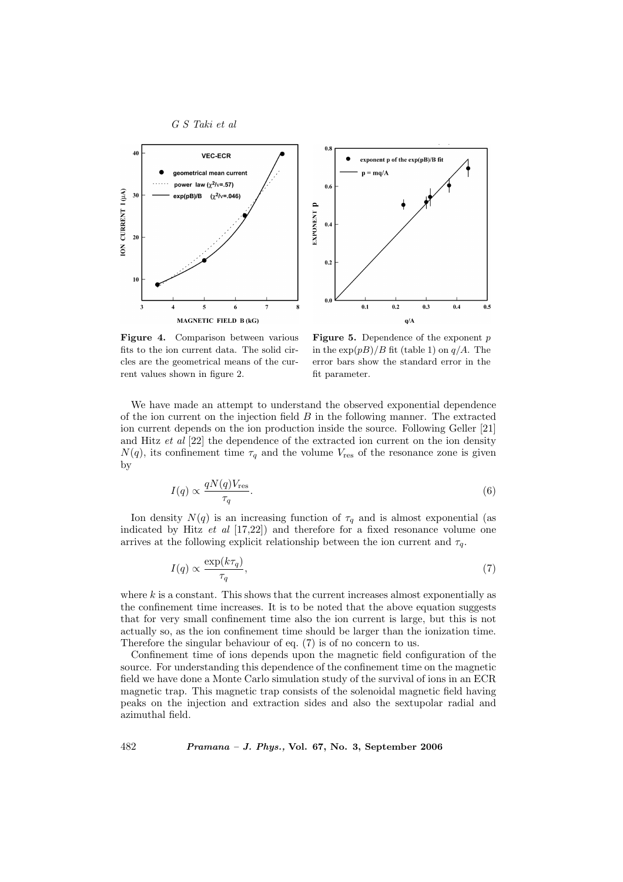



Figure 4. Comparison between various fits to the ion current data. The solid circles are the geometrical means of the current values shown in figure 2.

**Figure 5.** Dependence of the exponent  $p$ in the  $\exp(pB)/B$  fit (table 1) on  $q/A$ . The error bars show the standard error in the fit parameter.

We have made an attempt to understand the observed exponential dependence of the ion current on the injection field  $B$  in the following manner. The extracted ion current depends on the ion production inside the source. Following Geller [21] and Hitz et al [22] the dependence of the extracted ion current on the ion density  $N(q)$ , its confinement time  $\tau_q$  and the volume  $V_{\text{res}}$  of the resonance zone is given by

$$
I(q) \propto \frac{qN(q)V_{\text{res}}}{\tau_q}.\tag{6}
$$

Ion density  $N(q)$  is an increasing function of  $\tau_q$  and is almost exponential (as indicated by Hitz  $et \ al \ [17,22]$  and therefore for a fixed resonance volume one arrives at the following explicit relationship between the ion current and  $\tau_q$ .

$$
I(q) \propto \frac{\exp(k\tau_q)}{\tau_q},\tag{7}
$$

where  $k$  is a constant. This shows that the current increases almost exponentially as the confinement time increases. It is to be noted that the above equation suggests that for very small confinement time also the ion current is large, but this is not actually so, as the ion confinement time should be larger than the ionization time. Therefore the singular behaviour of eq. (7) is of no concern to us.

Confinement time of ions depends upon the magnetic field configuration of the source. For understanding this dependence of the confinement time on the magnetic field we have done a Monte Carlo simulation study of the survival of ions in an ECR magnetic trap. This magnetic trap consists of the solenoidal magnetic field having peaks on the injection and extraction sides and also the sextupolar radial and azimuthal field.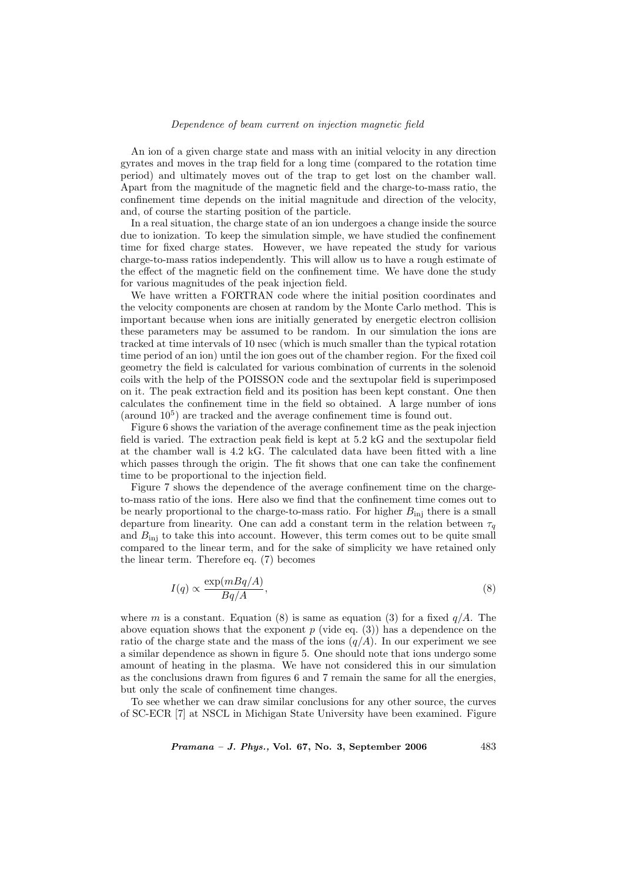## Dependence of beam current on injection magnetic field

An ion of a given charge state and mass with an initial velocity in any direction gyrates and moves in the trap field for a long time (compared to the rotation time period) and ultimately moves out of the trap to get lost on the chamber wall. Apart from the magnitude of the magnetic field and the charge-to-mass ratio, the confinement time depends on the initial magnitude and direction of the velocity, and, of course the starting position of the particle.

In a real situation, the charge state of an ion undergoes a change inside the source due to ionization. To keep the simulation simple, we have studied the confinement time for fixed charge states. However, we have repeated the study for various charge-to-mass ratios independently. This will allow us to have a rough estimate of the effect of the magnetic field on the confinement time. We have done the study for various magnitudes of the peak injection field.

We have written a FORTRAN code where the initial position coordinates and the velocity components are chosen at random by the Monte Carlo method. This is important because when ions are initially generated by energetic electron collision these parameters may be assumed to be random. In our simulation the ions are tracked at time intervals of 10 nsec (which is much smaller than the typical rotation time period of an ion) until the ion goes out of the chamber region. For the fixed coil geometry the field is calculated for various combination of currents in the solenoid coils with the help of the POISSON code and the sextupolar field is superimposed on it. The peak extraction field and its position has been kept constant. One then calculates the confinement time in the field so obtained. A large number of ions (around  $10^5$ ) are tracked and the average confinement time is found out.

Figure 6 shows the variation of the average confinement time as the peak injection field is varied. The extraction peak field is kept at 5.2 kG and the sextupolar field at the chamber wall is 4.2 kG. The calculated data have been fitted with a line which passes through the origin. The fit shows that one can take the confinement time to be proportional to the injection field.

Figure 7 shows the dependence of the average confinement time on the chargeto-mass ratio of the ions. Here also we find that the confinement time comes out to be nearly proportional to the charge-to-mass ratio. For higher  $B_{\text{inj}}$  there is a small departure from linearity. One can add a constant term in the relation between  $\tau_q$ and  $B_{\text{inj}}$  to take this into account. However, this term comes out to be quite small compared to the linear term, and for the sake of simplicity we have retained only the linear term. Therefore eq. (7) becomes

$$
I(q) \propto \frac{\exp(mBq/A)}{Bq/A},\tag{8}
$$

where m is a constant. Equation (8) is same as equation (3) for a fixed  $q/A$ . The above equation shows that the exponent  $p$  (vide eq. (3)) has a dependence on the ratio of the charge state and the mass of the ions  $(q/A)$ . In our experiment we see a similar dependence as shown in figure 5. One should note that ions undergo some amount of heating in the plasma. We have not considered this in our simulation as the conclusions drawn from figures 6 and 7 remain the same for all the energies, but only the scale of confinement time changes.

To see whether we can draw similar conclusions for any other source, the curves of SC-ECR [7] at NSCL in Michigan State University have been examined. Figure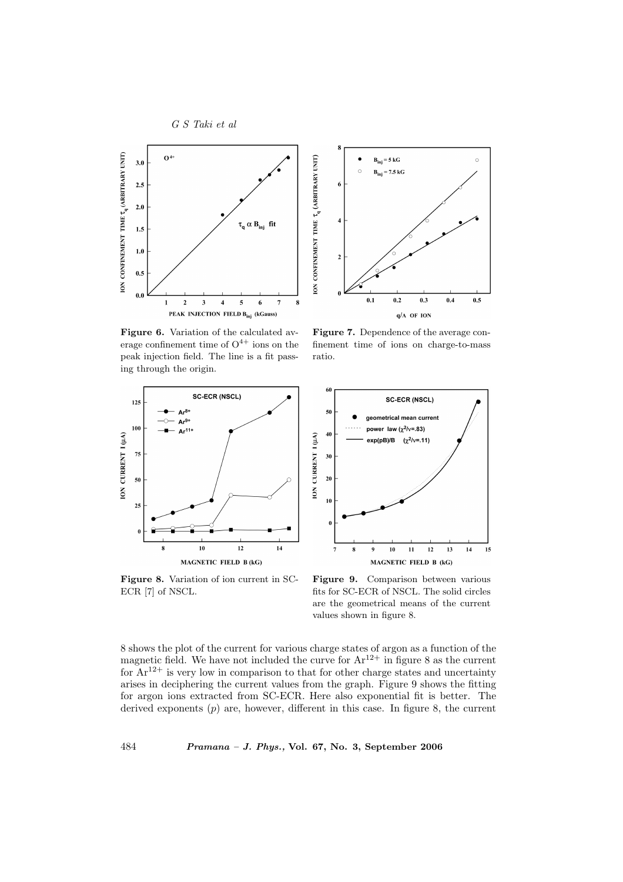



Figure 6. Variation of the calculated average confinement time of  $O^{4+}$  ions on the peak injection field. The line is a fit passing through the origin.

Figure 7. Dependence of the average confinement time of ions on charge-to-mass ratio.





Figure 8. Variation of ion current in SC-ECR [7] of NSCL.

Figure 9. Comparison between various fits for SC-ECR of NSCL. The solid circles are the geometrical means of the current values shown in figure 8.

8 shows the plot of the current for various charge states of argon as a function of the magnetic field. We have not included the curve for  $Ar^{12+}$  in figure 8 as the current for  $Ar^{12+}$  is very low in comparison to that for other charge states and uncertainty arises in deciphering the current values from the graph. Figure 9 shows the fitting for argon ions extracted from SC-ECR. Here also exponential fit is better. The derived exponents  $(p)$  are, however, different in this case. In figure 8, the current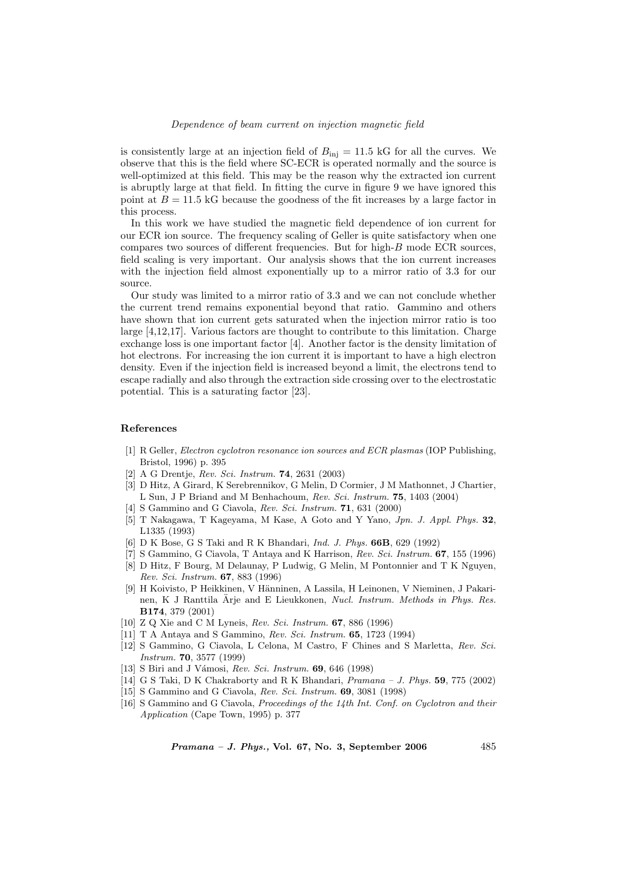is consistently large at an injection field of  $B_{\text{inj}} = 11.5 \text{ kG}$  for all the curves. We observe that this is the field where SC-ECR is operated normally and the source is well-optimized at this field. This may be the reason why the extracted ion current is abruptly large at that field. In fitting the curve in figure 9 we have ignored this point at  $B = 11.5$  kG because the goodness of the fit increases by a large factor in this process.

In this work we have studied the magnetic field dependence of ion current for our ECR ion source. The frequency scaling of Geller is quite satisfactory when one compares two sources of different frequencies. But for high-B mode ECR sources, field scaling is very important. Our analysis shows that the ion current increases with the injection field almost exponentially up to a mirror ratio of 3.3 for our source.

Our study was limited to a mirror ratio of 3.3 and we can not conclude whether the current trend remains exponential beyond that ratio. Gammino and others have shown that ion current gets saturated when the injection mirror ratio is too large [4,12,17]. Various factors are thought to contribute to this limitation. Charge exchange loss is one important factor [4]. Another factor is the density limitation of hot electrons. For increasing the ion current it is important to have a high electron density. Even if the injection field is increased beyond a limit, the electrons tend to escape radially and also through the extraction side crossing over to the electrostatic potential. This is a saturating factor [23].

#### References

- [1] R Geller, Electron cyclotron resonance ion sources and ECR plasmas (IOP Publishing, Bristol, 1996) p. 395
- [2] A G Drentje, Rev. Sci. Instrum. 74, 2631 (2003)
- [3] D Hitz, A Girard, K Serebrennikov, G Melin, D Cormier, J M Mathonnet, J Chartier, L Sun, J P Briand and M Benhachoum, Rev. Sci. Instrum. 75, 1403 (2004)
- [4] S Gammino and G Ciavola, Rev. Sci. Instrum. **71**, 631 (2000)
- [5] T Nakagawa, T Kageyama, M Kase, A Goto and Y Yano, Jpn. J. Appl. Phys. 32, L1335 (1993)
- [6] D K Bose, G S Taki and R K Bhandari, Ind. J. Phys. 66B, 629 (1992)
- [7] S Gammino, G Ciavola, T Antaya and K Harrison, Rev. Sci. Instrum. 67, 155 (1996)
- [8] D Hitz, F Bourg, M Delaunay, P Ludwig, G Melin, M Pontonnier and T K Nguyen, Rev. Sci. Instrum. 67, 883 (1996)
- [9] H Koivisto, P Heikkinen, V Hänninen, A Lassila, H Leinonen, V Nieminen, J Pakarinen, K J Ranttila Ärje and E Lieukkonen, Nucl. Instrum. Methods in Phys. Res. B174, 379 (2001)
- [10] Z Q Xie and C M Lyneis, Rev. Sci. Instrum. 67, 886 (1996)
- [11] T A Antaya and S Gammino, Rev. Sci. Instrum. 65, 1723 (1994)
- [12] S Gammino, G Ciavola, L Celona, M Castro, F Chines and S Marletta, Rev. Sci. Instrum. 70, 3577 (1999)
- [13] S Biri and J Vámosi, Rev. Sci. Instrum. 69, 646 (1998)
- [14] G S Taki, D K Chakraborty and R K Bhandari, Pramana J. Phys. 59, 775 (2002)
- [15] S Gammino and G Ciavola, Rev. Sci. Instrum. 69, 3081 (1998)
- [16] S Gammino and G Ciavola, Proceedings of the 14th Int. Conf. on Cyclotron and their Application (Cape Town, 1995) p. 377